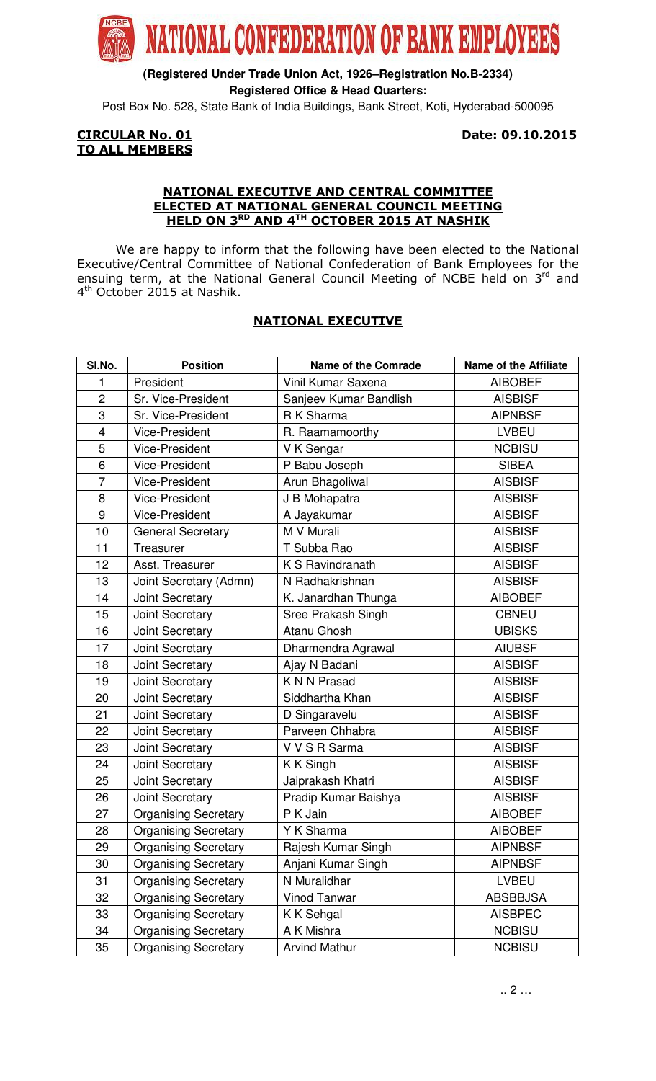

**(Registered Under Trade Union Act, 1926–Registration No.B-2334) Registered Office & Head Quarters:**

Post Box No. 528, State Bank of India Buildings, Bank Street, Koti, Hyderabad-500095

# TO ALL MEMBERS

**CIRCULAR No. 01** Date: 09.10.2015

### NATIONAL EXECUTIVE AND CENTRAL COMMITTEE ELECTED AT NATIONAL GENERAL COUNCIL MEETING HELD ON 3RD AND 4TH OCTOBER 2015 AT NASHIK

 We are happy to inform that the following have been elected to the National Executive/Central Committee of National Confederation of Bank Employees for the ensuing term, at the National General Council Meeting of NCBE held on  $3<sup>rd</sup>$  and 4<sup>th</sup> October 2015 at Nashik.

## NATIONAL EXECUTIVE

| SI.No.         | <b>Position</b>             | <b>Name of the Comrade</b> | <b>Name of the Affiliate</b> |
|----------------|-----------------------------|----------------------------|------------------------------|
| 1              | President                   | Vinil Kumar Saxena         | <b>AIBOBEF</b>               |
| $\overline{c}$ | Sr. Vice-President          | Sanjeev Kumar Bandlish     | <b>AISBISF</b>               |
| 3              | Sr. Vice-President          | R K Sharma                 | <b>AIPNBSF</b>               |
| 4              | <b>Vice-President</b>       | R. Raamamoorthy            | <b>LVBEU</b>                 |
| 5              | <b>Vice-President</b>       | V K Sengar                 | <b>NCBISU</b>                |
| 6              | <b>Vice-President</b>       | P Babu Joseph              | <b>SIBEA</b>                 |
| $\overline{7}$ | <b>Vice-President</b>       | Arun Bhagoliwal            | <b>AISBISF</b>               |
| 8              | <b>Vice-President</b>       | J B Mohapatra              | <b>AISBISF</b>               |
| 9              | <b>Vice-President</b>       | A Jayakumar                | <b>AISBISF</b>               |
| 10             | <b>General Secretary</b>    | M V Murali                 | <b>AISBISF</b>               |
| 11             | Treasurer                   | T Subba Rao                | <b>AISBISF</b>               |
| 12             | Asst. Treasurer             | K S Ravindranath           | <b>AISBISF</b>               |
| 13             | Joint Secretary (Admn)      | N Radhakrishnan            | <b>AISBISF</b>               |
| 14             | <b>Joint Secretary</b>      | K. Janardhan Thunga        | <b>AIBOBEF</b>               |
| 15             | Joint Secretary             | Sree Prakash Singh         | <b>CBNEU</b>                 |
| 16             | Joint Secretary             | Atanu Ghosh                | <b>UBISKS</b>                |
| 17             | Joint Secretary             | Dharmendra Agrawal         | <b>AIUBSF</b>                |
| 18             | Joint Secretary             | Ajay N Badani              | <b>AISBISF</b>               |
| 19             | Joint Secretary             | K N N Prasad               | <b>AISBISF</b>               |
| 20             | Joint Secretary             | Siddhartha Khan            | <b>AISBISF</b>               |
| 21             | Joint Secretary             | D Singaravelu              | <b>AISBISF</b>               |
| 22             | Joint Secretary             | Parveen Chhabra            | <b>AISBISF</b>               |
| 23             | Joint Secretary             | V V S R Sarma              | <b>AISBISF</b>               |
| 24             | Joint Secretary             | K K Singh                  | <b>AISBISF</b>               |
| 25             | Joint Secretary             | Jaiprakash Khatri          | <b>AISBISF</b>               |
| 26             | <b>Joint Secretary</b>      | Pradip Kumar Baishya       | <b>AISBISF</b>               |
| 27             | <b>Organising Secretary</b> | P K Jain                   | <b>AIBOBEF</b>               |
| 28             | <b>Organising Secretary</b> | Y K Sharma                 | <b>AIBOBEF</b>               |
| 29             | <b>Organising Secretary</b> | Rajesh Kumar Singh         | <b>AIPNBSF</b>               |
| 30             | <b>Organising Secretary</b> | Anjani Kumar Singh         | <b>AIPNBSF</b>               |
| 31             | <b>Organising Secretary</b> | N Muralidhar               | LVBEU                        |
| 32             | <b>Organising Secretary</b> | <b>Vinod Tanwar</b>        | <b>ABSBBJSA</b>              |
| 33             | <b>Organising Secretary</b> | K K Sehgal                 | <b>AISBPEC</b>               |
| 34             | <b>Organising Secretary</b> | A K Mishra                 | <b>NCBISU</b>                |
| 35             | <b>Organising Secretary</b> | <b>Arvind Mathur</b>       | <b>NCBISU</b>                |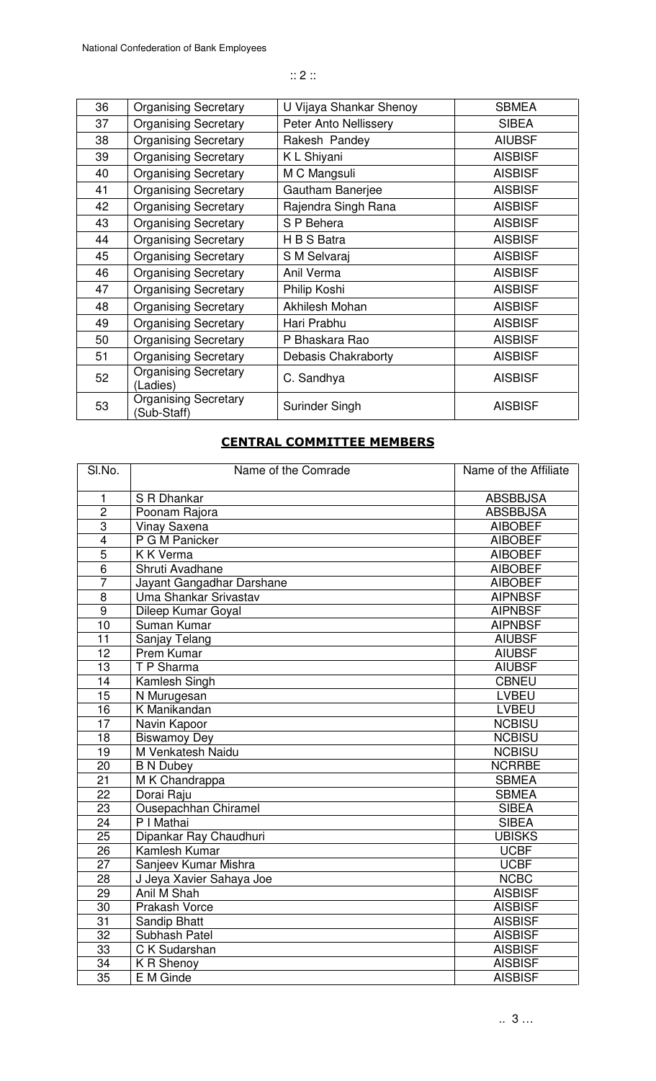36 | Organising Secretary | U Vijaya Shankar Shenoy | SBMEA 37 | Organising Secretary | Peter Anto Nellissery | SIBEA 38 Organising Secretary Rakesh Pandey AIUBSF 39 Organising Secretary K L Shiyani AISBISF 40 | Organising Secretary | M C Mangsuli | AISBISF 41 | Organising Secretary | Gautham Banerjee | AISBISF 42 | Organising Secretary | Rajendra Singh Rana | AISBISF 43 | Organising Secretary | S P Behera | AISBISF 44 | Organising Secretary | H B S Batra | AISBISF 45 Organising Secretary S M Selvaraj AISBISF 46 | Organising Secretary | Anil Verma | AISBISF 47 | Organising Secretary | Philip Koshi | AISBISF 48 | Organising Secretary | Akhilesh Mohan | AISBISF 49 Organising Secretary Hari Prabhu AISBISF 50 | Organising Secretary | P Bhaskara Rao | AISBISF 51 | Organising Secretary | Debasis Chakraborty | AISBISF 52 | Organising Secretary<br>
(Ladies) Organising Scciencity C. Sandhya (Ladies) AISBISF 53 | Organising Secretary<br>
(Sub-Staff) Surinder Singh AISBISF

#### CENTRAL COMMITTEE MEMBERS

| SI.No.          | Name of the Comrade               | Name of the Affiliate |
|-----------------|-----------------------------------|-----------------------|
| 1               | S R Dhankar                       | <b>ABSBBJSA</b>       |
| $\overline{2}$  | Poonam Rajora                     | <b>ABSBBJSA</b>       |
| $\overline{3}$  | <b>Vinay Saxena</b>               | <b>AIBOBEF</b>        |
| $\overline{4}$  | P G M Panicker                    | <b>AIBOBEF</b>        |
| $\overline{5}$  | $\overline{K} \overline{K}$ Verma | <b>AIBOBEF</b>        |
| $\overline{6}$  | Shruti Avadhane                   | <b>AIBOBEF</b>        |
| $\overline{7}$  | Jayant Gangadhar Darshane         | <b>AIBOBEF</b>        |
| $\overline{8}$  | Uma Shankar Srivastav             | <b>AIPNBSF</b>        |
| $\overline{9}$  | Dileep Kumar Goyal                | <b>AIPNBSF</b>        |
| 10              | Suman Kumar                       | <b>AIPNBSF</b>        |
| 11              | Sanjay Telang                     | <b>AIUBSF</b>         |
| 12              | Prem Kumar                        | <b>AIUBSF</b>         |
| 13              | T P Sharma                        | <b>AIUBSF</b>         |
| 14              | Kamlesh Singh                     | <b>CBNEU</b>          |
| 15              | N Murugesan                       | <b>LVBEU</b>          |
| 16              | K Manikandan                      | <b>LVBEU</b>          |
| 17              | Navin Kapoor                      | <b>NCBISU</b>         |
| 18              | <b>Biswamoy Dey</b>               | <b>NCBISU</b>         |
| 19              | M Venkatesh Naidu                 | <b>NCBISU</b>         |
| 20              | <b>B N Dubey</b>                  | <b>NCRRBE</b>         |
| $\overline{21}$ | M K Chandrappa                    | <b>SBMEA</b>          |
| 22              | Dorai Raju                        | <b>SBMEA</b>          |
| $\overline{23}$ | <b>Ousepachhan Chiramel</b>       | <b>SIBEA</b>          |
| 24              | P I Mathai                        | <b>SIBEA</b>          |
| 25              | Dipankar Ray Chaudhuri            | <b>UBISKS</b>         |
| 26              | Kamlesh Kumar                     | <b>UCBF</b>           |
| 27              | Sanjeev Kumar Mishra              | <b>UCBF</b>           |
| 28              | J Jeya Xavier Sahaya Joe          | <b>NCBC</b>           |
| $\overline{29}$ | Anil M Shah                       | <b>AISBISF</b>        |
| 30              | Prakash Vorce                     | <b>AISBISF</b>        |
| 31              | Sandip Bhatt                      | <b>AISBISF</b>        |
| $\overline{32}$ | Subhash Patel                     | <b>AISBISF</b>        |
| 33              | C K Sudarshan                     | <b>AISBISF</b>        |
| 34              | K R Shenoy                        | <b>AISBISF</b>        |
| $\overline{35}$ | E M Ginde                         | <b>AISBISF</b>        |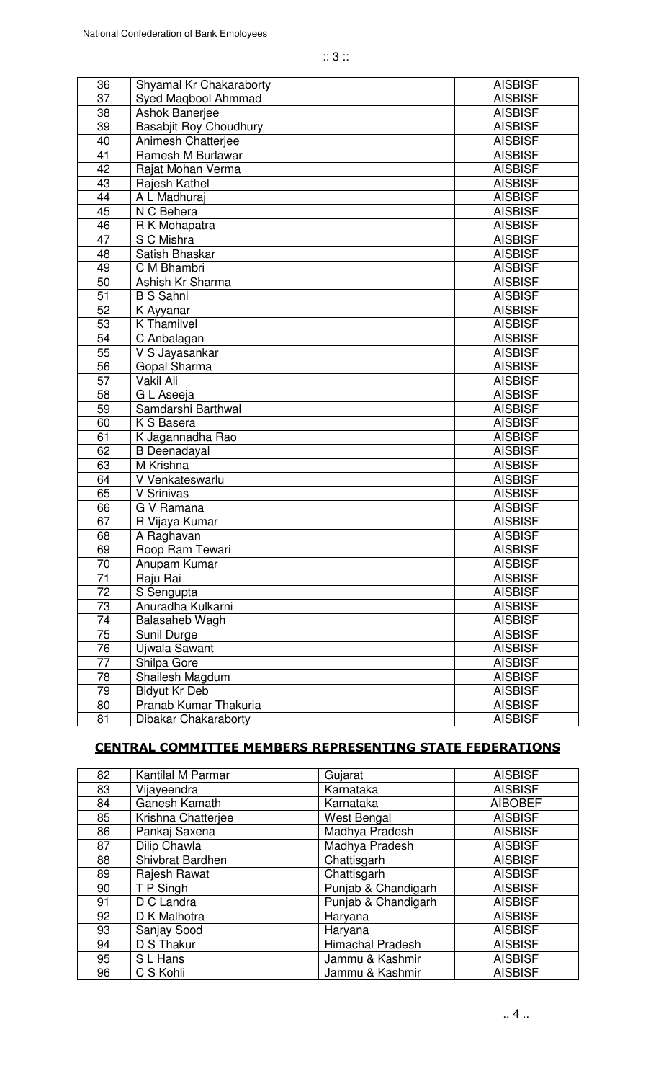| 36              | Shyamal Kr Chakaraborty       | <b>AISBISF</b> |
|-----------------|-------------------------------|----------------|
| 37              | Syed Maqbool Ahmmad           | <b>AISBISF</b> |
| 38              | <b>Ashok Banerjee</b>         | <b>AISBISF</b> |
| 39              | <b>Basabjit Roy Choudhury</b> | <b>AISBISF</b> |
| 40              | Animesh Chatterjee            | <b>AISBISF</b> |
| 41              | Ramesh M Burlawar             | <b>AISBISF</b> |
| 42              | Rajat Mohan Verma             | <b>AISBISF</b> |
| 43              | Rajesh Kathel                 | <b>AISBISF</b> |
| 44              | A L Madhuraj                  | <b>AISBISF</b> |
| 45              | N C Behera                    | <b>AISBISF</b> |
| 46              | R K Mohapatra                 | <b>AISBISF</b> |
| 47              | S C Mishra                    | <b>AISBISF</b> |
| 48              | Satish Bhaskar                | <b>AISBISF</b> |
| 49              | C M Bhambri                   | <b>AISBISF</b> |
| 50              | Ashish Kr Sharma              | <b>AISBISF</b> |
| 51              | <b>B S Sahni</b>              | <b>AISBISF</b> |
| 52              | K Ayyanar                     | <b>AISBISF</b> |
| 53              | <b>K</b> Thamilvel            | <b>AISBISF</b> |
| 54              | C Anbalagan                   | <b>AISBISF</b> |
| 55              | V S Jayasankar                | <b>AISBISF</b> |
| 56              | Gopal Sharma                  | <b>AISBISF</b> |
| 57              | Vakil Ali                     | <b>AISBISF</b> |
| 58              | G L Aseeja                    | <b>AISBISF</b> |
| 59              | Samdarshi Barthwal            | <b>AISBISF</b> |
| 60              | K S Basera                    | <b>AISBISF</b> |
| 61              | K Jagannadha Rao              | <b>AISBISF</b> |
| 62              | <b>B</b> Deenadayal           | <b>AISBISF</b> |
| 63              | M Krishna                     | <b>AISBISF</b> |
| 64              | V Venkateswarlu               | <b>AISBISF</b> |
| 65              | V Srinivas                    | <b>AISBISF</b> |
| 66              | G V Ramana                    | <b>AISBISF</b> |
| 67              | R Vijaya Kumar                | <b>AISBISF</b> |
| 68              | A Raghavan                    | <b>AISBISF</b> |
| 69              | Roop Ram Tewari               | <b>AISBISF</b> |
| 70              | Anupam Kumar                  | <b>AISBISF</b> |
| 71              | Raju Rai                      | <b>AISBISF</b> |
| 72              | S Sengupta                    | <b>AISBISF</b> |
| 73              | Anuradha Kulkarni             | <b>AISBISF</b> |
| 74              | Balasaheb Wagh                | <b>AISBISF</b> |
| $\overline{75}$ | Sunil Durge                   | <b>AISBISF</b> |
| 76              | Ujwala Sawant                 | <b>AISBISF</b> |
| 77              | Shilpa Gore                   | <b>AISBISF</b> |
| 78              | Shailesh Magdum               | <b>AISBISF</b> |
| 79              | <b>Bidyut Kr Deb</b>          | <b>AISBISF</b> |
| 80              | Pranab Kumar Thakuria         | <b>AISBISF</b> |
| 81              | Dibakar Chakaraborty          | <b>AISBISF</b> |

## CENTRAL COMMITTEE MEMBERS REPRESENTING STATE FEDERATIONS

| 82 | Kantilal M Parmar  | Gujarat                 | <b>AISBISF</b> |
|----|--------------------|-------------------------|----------------|
| 83 | Vijayeendra        | Karnataka               | <b>AISBISF</b> |
| 84 | Ganesh Kamath      | Karnataka               | <b>AIBOBEF</b> |
| 85 | Krishna Chatterjee | West Bengal             | <b>AISBISF</b> |
| 86 | Pankaj Saxena      | Madhya Pradesh          | <b>AISBISF</b> |
| 87 | Dilip Chawla       | Madhya Pradesh          | <b>AISBISF</b> |
| 88 | Shivbrat Bardhen   | Chattisgarh             | <b>AISBISF</b> |
| 89 | Rajesh Rawat       | Chattisgarh             | <b>AISBISF</b> |
| 90 | T P Singh          | Punjab & Chandigarh     | <b>AISBISF</b> |
| 91 | D C Landra         | Punjab & Chandigarh     | <b>AISBISF</b> |
| 92 | D K Malhotra       | Haryana                 | <b>AISBISF</b> |
| 93 | Sanjay Sood        | Haryana                 | <b>AISBISF</b> |
| 94 | D S Thakur         | <b>Himachal Pradesh</b> | <b>AISBISF</b> |
| 95 | S L Hans           | Jammu & Kashmir         | <b>AISBISF</b> |
| 96 | C S Kohli          | Jammu & Kashmir         | <b>AISBISF</b> |